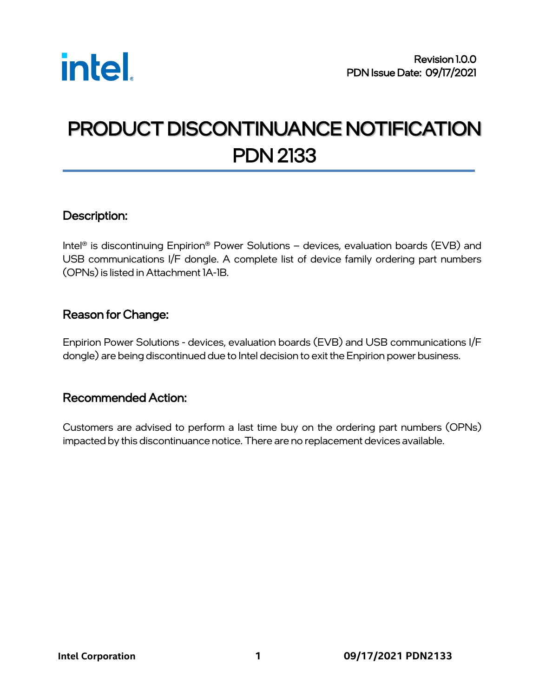

# PRODUCT DISCONTINUANCE NOTIFICATION PDN 2133

#### Description:

Intel® is discontinuing Enpirion® Power Solutions – devices, evaluation boards (EVB) and USB communications I/F dongle. A complete list of device family ordering part numbers (OPNs) is listed in Attachment 1A-1B.

#### Reason for Change:

Enpirion Power Solutions - devices, evaluation boards (EVB) and USB communications I/F dongle) are being discontinued due to Intel decision to exit the Enpirion power business.

#### Recommended Action:

Customers are advised to perform a last time buy on the ordering part numbers (OPNs) impacted by this discontinuance notice. There are no replacement devices available.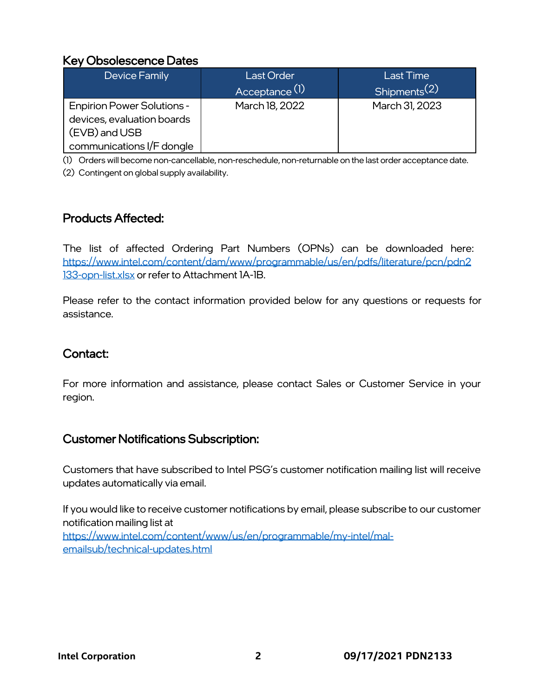## Key Obsolescence Dates

| Device Family                                                                                                 | <b>Last Order</b><br>Acceptance <sup>(1)</sup> | <b>Last Time</b><br>Shipments <sup>(2)</sup> |
|---------------------------------------------------------------------------------------------------------------|------------------------------------------------|----------------------------------------------|
| <b>Enpirion Power Solutions -</b><br>devices, evaluation boards<br>(EVB) and USB<br>communications I/F dongle | March 18, 2022                                 | March 31, 2023                               |

(1) Orders will become non-cancellable, non-reschedule, non-returnable on the last order acceptance date.

(2) Contingent on global supply availability.

## Products Affected:

The list of affected Ordering Part Numbers (OPNs) can be downloaded here: [https://www.intel.com/content/dam/www/programmable/us/en/pdfs/literature/pcn/pdn2](https://www.intel.com/content/dam/www/programmable/us/en/pdfs/literature/pcn/pdn2133-opn-list.xlsx) [133-opn-list.xlsx](https://www.intel.com/content/dam/www/programmable/us/en/pdfs/literature/pcn/pdn2133-opn-list.xlsx) or refer to Attachment 1A-1B.

Please refer to the contact information provided below for any questions or requests for assistance.

# Contact:

For more information and assistance, please contact Sales or Customer Service in your region.

### Customer Notifications Subscription:

Customers that have subscribed to Intel PSG's customer notification mailing list will receive updates automatically via email.

If you would like to receive customer notifications by email, please subscribe to our customer notification mailing list at [https://www.intel.com/content/www/us/en/programmable/my-intel/mal](https://www.intel.com/content/www/us/en/programmable/my-intel/mal-emailsub/technical-updates.html)[emailsub/technical-updates.html](https://www.intel.com/content/www/us/en/programmable/my-intel/mal-emailsub/technical-updates.html)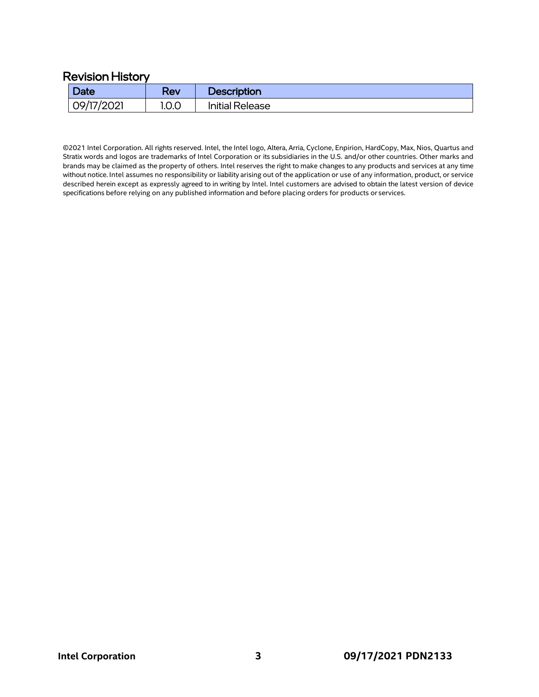#### Revision History

| <b>Date</b> | Rev   | <b>Description</b>     |
|-------------|-------|------------------------|
| 09/17/2021  | 1.0.0 | <b>Initial Release</b> |

©2021 Intel Corporation. All rights reserved. Intel, the Intel logo, Altera, Arria, Cyclone, Enpirion, HardCopy, Max, Nios, Quartus and Stratix words and logos are trademarks of Intel Corporation or its subsidiaries in the U.S. and/or other countries. Other marks and brands may be claimed as the property of others. Intel reserves the right to make changes to any products and services at any time without notice. Intel assumes no responsibility or liability arising out of the application or use of any information, product, or service described herein except as expressly agreed to in writing by Intel. Intel customers are advised to obtain the latest version of device specifications before relying on any published information and before placing orders for products or services.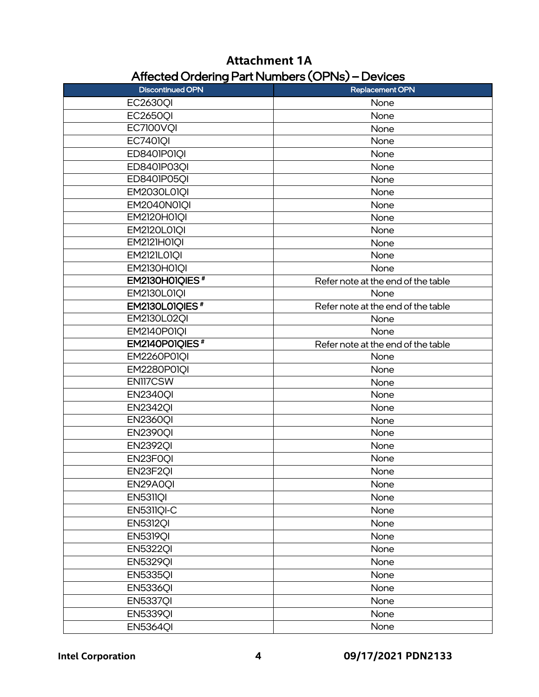# **Attachment 1A** Affected Ordering Part Numbers (OPNs) – Devices

| <b>Discontinued OPN</b>    | <b>Replacement OPN</b>             |
|----------------------------|------------------------------------|
| <b>EC2630QI</b>            | None                               |
| <b>EC2650QI</b>            | None                               |
| <b>EC7100VQI</b>           | None                               |
| <b>EC7401QI</b>            | None                               |
| ED8401P01QI                | None                               |
| ED8401P03QI                | None                               |
| ED8401P05QI                | None                               |
| <b>EM2030L01QI</b>         | None                               |
| <b>EM2040N01QI</b>         | None                               |
| <b>EM2120H01QI</b>         | None                               |
| <b>EM2120L01QI</b>         | None                               |
| EM2121HOIQI                | None                               |
| <b>EM2121L01QI</b>         | None                               |
| <b>EM2130H01QI</b>         | None                               |
| EM2130H01QIES <sup>#</sup> | Refer note at the end of the table |
| <b>EM2130L01QI</b>         | None                               |
| EM2130L01QIES <sup>#</sup> | Refer note at the end of the table |
| <b>EM2130L02QI</b>         | None                               |
| <b>EM2140P01OI</b>         | None                               |
| EM2140P01QIES <sup>#</sup> | Refer note at the end of the table |
| <b>EM2260P01QI</b>         | None                               |
| <b>EM2280P01QI</b>         | None                               |
| EN117CSW                   | None                               |
| <b>EN2340QI</b>            | None                               |
| <b>EN2342QI</b>            | None                               |
| <b>EN2360QI</b>            | None                               |
| <b>EN2390QI</b>            | None                               |
| <b>EN2392QI</b>            | None                               |
| EN23F0QI                   | None                               |
| EN23F2OI                   | None                               |
| EN29A0QI                   | None                               |
| EN5311QI                   | None                               |
| EN5311QI-C                 | None                               |
| <b>EN5312QI</b>            | None                               |
| <b>EN5319QI</b>            | None                               |
| <b>EN5322QI</b>            | None                               |
| <b>EN5329QI</b>            | None                               |
| <b>EN5335QI</b>            | None                               |
| <b>EN5336QI</b>            | None                               |
| <b>EN5337QI</b>            | None                               |
| <b>EN5339QI</b>            | None                               |
| <b>EN5364QI</b>            | None                               |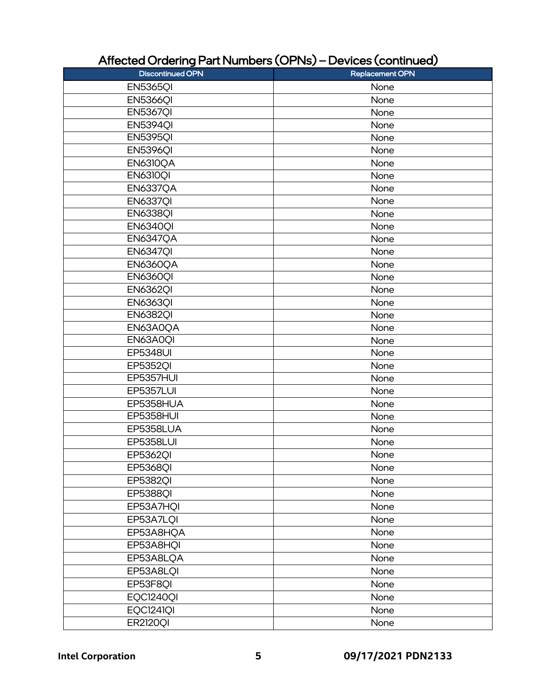| <b>Discontinued OPN</b> | Replacement OPN |
|-------------------------|-----------------|
| <b>EN5365QI</b>         | None            |
| <b>EN5366QI</b>         | None            |
| <b>EN5367QI</b>         | None            |
| <b>EN5394QI</b>         | None            |
| <b>EN5395QI</b>         | None            |
| <b>EN5396QI</b>         | None            |
| EN6310QA                | None            |
| <b>EN6310QI</b>         | None            |
| <b>EN6337QA</b>         | None            |
| <b>EN6337QI</b>         | None            |
| <b>EN6338QI</b>         | None            |
| <b>EN6340QI</b>         | None            |
| <b>EN6347QA</b>         | None            |
| <b>EN6347QI</b>         | None            |
| <b>EN6360QA</b>         | None            |
| <b>EN6360QI</b>         | None            |
| <b>EN6362QI</b>         | None            |
| <b>EN6363QI</b>         | None            |
| <b>EN6382QI</b>         | None            |
| EN63A0QA                | None            |
| EN63A0QI                | None            |
| <b>EP5348UI</b>         | None            |
| <b>EP5352QI</b>         | None            |
| <b>EP5357HUI</b>        | None            |
| <b>EP5357LUI</b>        | None            |
| EP5358HUA               | None            |
| EP5358HUI               | None            |
| EP5358LUA               | None            |
| <b>EP5358LUI</b>        | None            |
| <b>EP5362QI</b>         | None            |
| <b>EP5368QI</b>         | None            |
| <b>EP5382QI</b>         | None            |
| <b>EP5388QI</b>         | None            |
| EP53A7HQI               | None            |
| EP53A7LQI               | None            |
| EP53A8HQA               | None            |
| EP53A8HQI               | None            |
| EP53A8LQA               | None            |
| EP53A8LQI               | None            |
| EP53F8QI                | None            |
| EQC1240QI               | None            |
| EQC1241QI               | None            |
| <b>ER2120QI</b>         | None            |
|                         |                 |

# Affected Ordering Part Numbers (OPNs) – Devices (continued)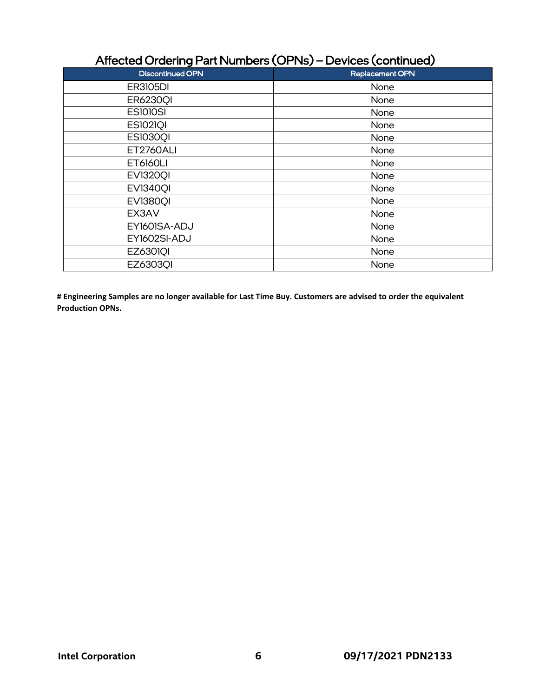# Affected Ordering Part Numbers (OPNs) – Devices (continued)

| <b>Discontinued OPN</b> | Replacement OPN |
|-------------------------|-----------------|
| <b>ER3105DI</b>         | None            |
| <b>ER6230QI</b>         | None            |
| <b>ES1010SI</b>         | None            |
| <b>ES1021QI</b>         | None            |
| <b>ES10300I</b>         | None            |
| <b>ET2760ALI</b>        | None            |
| <b>ET6160LI</b>         | None            |
| <b>EV13200I</b>         | None            |
| <b>EV13400I</b>         | None            |
| <b>EV13800I</b>         | None            |
| EX3AV                   | None            |
| EY1601SA-ADJ            | None            |
| EY1602SI-ADJ            | None            |
| <b>EZ6301QI</b>         | None            |
| EZ63030I                | None            |

**# Engineering Samples are no longer available for Last Time Buy. Customers are advised to order the equivalent Production OPNs.**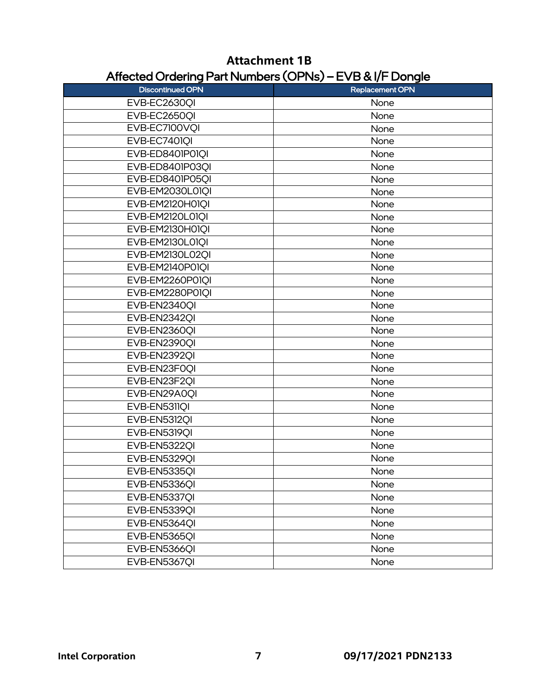|                         | --- - -                |
|-------------------------|------------------------|
| <b>Discontinued OPN</b> | <b>Replacement OPN</b> |
| EVB-EC2630QI            | None                   |
| EVB-EC2650QI            | None                   |
| EVB-EC7100VQI           | None                   |
| EVB-EC7401QI            | None                   |
| EVB-ED8401P01QI         | None                   |
| EVB-ED8401P03QI         | None                   |
| EVB-ED8401P05QI         | None                   |
| EVB-EM2030L01QI         | None                   |
| EVB-EM2120H01QI         | None                   |
| EVB-EM2120L01QI         | None                   |
| EVB-EM2130H01QI         | None                   |
| EVB-EM2130L01QI         | None                   |
| EVB-EM2130L02QI         | None                   |
| EVB-EM2140P01QI         | None                   |
| EVB-EM2260P01QI         | None                   |
| EVB-EM2280P01QI         | None                   |
| EVB-EN2340QI            | None                   |
| EVB-EN2342QI            | None                   |
| EVB-EN2360QI            | None                   |
| EVB-EN2390QI            | None                   |
| EVB-EN2392QI            | None                   |
| EVB-EN23F0QI            | None                   |
| EVB-EN23F2QI            | None                   |
| EVB-EN29A0QI            | None                   |
| EVB-EN5311QI            | None                   |
| <b>EVB-EN5312QI</b>     | None                   |
| EVB-EN5319QI            | None                   |
| <b>EVB-EN53220I</b>     | None                   |
| EVB-EN5329QI            | None                   |
| EVB-EN5335OI            | None                   |
| EVB-EN5336QI            | None                   |
| EVB-EN5337QI            | None                   |
| EVB-EN5339QI            | None                   |
| EVB-EN5364QI            | None                   |
| EVB-EN5365QI            | None                   |
| EVB-EN5366QI            | None                   |
| EVB-EN5367QI            | None                   |

# **Attachment 1B** Affected Ordering Part Numbers (OPNs) – EVB & I/F Dongle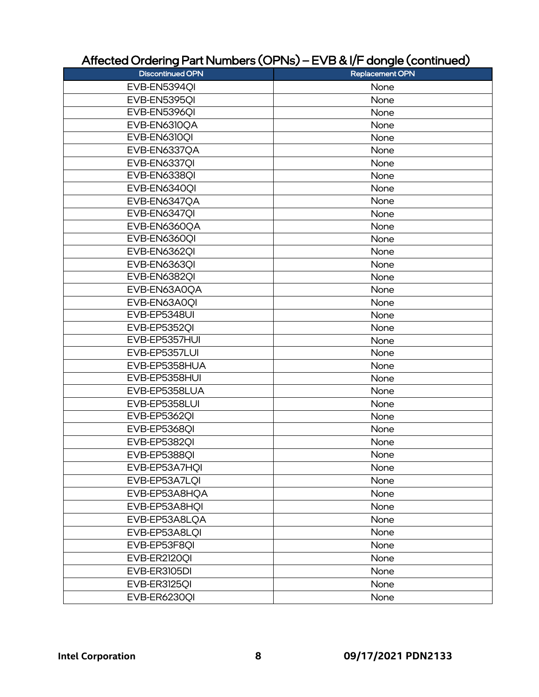# Affected Ordering Part Numbers (OPNs) – EVB & I/F dongle (continued)

| -- - - - -                   |                        |
|------------------------------|------------------------|
| <b>Discontinued OPN</b>      | <b>Replacement OPN</b> |
| EVB-EN5394QI                 | None                   |
| EVB-EN5395QI                 | None                   |
| EVB-EN5396QI                 | None                   |
| EVB-EN6310QA<br>EVB-EN6310QI | None                   |
|                              | None                   |
| EVB-EN6337QA                 | None                   |
| EVB-EN6337QI                 | None                   |
| EVB-EN6338OI                 | None                   |
| EVB-EN6340QI                 | None                   |
| EVB-EN6347QA                 | None                   |
| EVB-EN6347QI                 | None                   |
| EVB-EN6360QA                 | None                   |
| EVB-EN6360QI                 | None                   |
| <b>EVB-EN63620I</b>          | None                   |
| <b>EVB-EN6363OI</b>          | None                   |
| <b>EVB-EN6382QI</b>          | None                   |
| EVB-EN63A0QA                 | None                   |
| EVB-EN63A0QI                 | None                   |
| EVB-EP5348UI                 | None                   |
| EVB-EP5352QI                 | None                   |
| EVB-EP5357HUI                | None                   |
| EVB-EP5357LUI                | None                   |
| EVB-EP5358HUA                | None                   |
| EVB-EP5358HUI                | None                   |
| EVB-EP5358LUA                | None                   |
| EVB-EP5358LUI                | None                   |
| EVB-EP5362QI                 | None                   |
| EVB-EP5368QI                 | None                   |
| EVB-EP5382QI                 | None                   |
| EVB-EP5388OI                 | None                   |
| EVB-EP53A7HQI                | None                   |
| EVB-EP53A7LQI                | None                   |
| EVB-EP53A8HQA                | None                   |
| EVB-EP53A8HQI                | None                   |
| EVB-EP53A8LQA                | None                   |
| EVB-EP53A8LQI                | None                   |
| EVB-EP53F8QI                 | None                   |
| EVB-ER2120QI                 | None                   |
| EVB-ER3105DI                 | None                   |
| EVB-ER3125QI                 | None                   |
| EVB-ER6230QI                 | None                   |